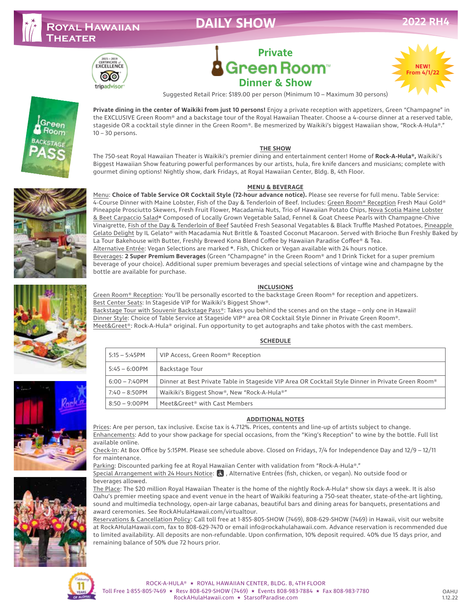# **Royal Hawaiian**



# Green Room<sup>®</sup> **Dinner & Show** Suggested Retail Price: \$189.00 per person (Minimum 10 – Maximum 30 persons)

**Private**





**Theater**

**Private dining in the center of Waikiki from just 10 persons!** Enjoy a private reception with appetizers, Green "Champagne" in the EXCLUSIVE Green Room® and a backstage tour of the Royal Hawaiian Theater. Choose a 4-course dinner at a reserved table, stageside OR a cocktail style dinner in the Green Room®. Be mesmerized by Waikiki's biggest Hawaiian show, "Rock-A-Hula®." 10 – 30 persons.

# **THE SHOW**

The 750-seat Royal Hawaiian Theater is Waikiki's premier dining and entertainment center! Home of **Rock-A-Hula®,** Waikiki's Biggest Hawaiian Show featuring powerful performances by our artists, hula, fire knife dancers and musicians; complete with gourmet dining options! Nightly show, dark Fridays, at Royal Hawaiian Center, Bldg. B, 4th Floor.

# **MENU & BEVERAGE**

Menu: **Choice of Table Service OR Cocktail Style (72-hour advance notice).** Please see reverse for full menu. Table Service: 4-Course Dinner with Maine Lobster, Fish of the Day & Tenderloin of Beef. Includes: Green Room® Reception Fresh Maui Gold® Pineapple Prosciutto Skewers, Fresh Fruit Flower, Macadamia Nuts, Trio of Hawaiian Potato Chips, Nova Scotia Maine Lobster & Beet Carpaccio Salad❋ Composed of Locally Grown Vegetable Salad, Fennel & Goat Cheese Pearls with Champagne-Chive Vinaigrette, Fish of the Day & Tenderloin of Beef Sautéed Fresh Seasonal Vegatables & Black Truffle Mashed Potatoes, Pineapple Gelato Delight by IL Gelato® with Macadamia Nut Brittle & Toasted Coconut Macaroon. Served with Brioche Bun Freshly Baked by La Tour Bakehouse with Butter, Freshly Brewed Kona Blend Coffee by Hawaiian Paradise Coffee® & Tea. Alternative Entrée: Vegan Selections are marked ❋. Fish, Chicken or Vegan available with 24 hours notice. Beverages: **2 Super Premium Beverages** (Green "Champagne" in the Green Room® and 1 Drink Ticket for a super premium beverage of your choice). Additional super premium beverages and special selections of vintage wine and champagne by the bottle are available for purchase.

# **INCLUSIONS**

Green Room® Reception: You'll be personally escorted to the backstage Green Room® for reception and appetizers. Best Center Seats: In Stageside VIP for Waikiki's Biggest Show®.

Backstage Tour with Souvenir Backstage Pass®: Takes you behind the scenes and on the stage – only one in Hawaii! Dinner Style: Choice of Table Service at Stageside VIP® area OR Cocktail Style Dinner in Private Green Room®. Meet&Greet®: Rock-A-Hula® original. Fun opportunity to get autographs and take photos with the cast members.

# **SCHEDULE**

| $5:15 - 5:45$ PM | VIP Access, Green Room® Reception                                                                  |
|------------------|----------------------------------------------------------------------------------------------------|
| $5:45 - 6:00$ PM | Backstage Tour                                                                                     |
| $6:00 - 7:40$ PM | Dinner at Best Private Table in Stageside VIP Area OR Cocktail Style Dinner in Private Green Room® |
| 7:40 – 8:50PM    | Waikiki's Biggest Show®, New "Rock-A-Hula®"                                                        |
| 8:50 – 9:00PM    | Meet&Greet® with Cast Members                                                                      |

# **ADDITIONAL NOTES**

Prices: Are per person, tax inclusive. Excise tax is 4.712%. Prices, contents and line-up of artists subject to change. Enhancements: Add to your show package for special occasions, from the "King's Reception" to wine by the bottle. Full list available online.

Check-In: At Box Office by 5:15PM. Please see schedule above. Closed on Fridays, 7/4 for Independence Day and 12/9 – 12/11 for maintenance.

Parking: Discounted parking fee at Royal Hawaiian Center with validation from "Rock-A-Hula®."

Special Arrangement with 24 Hours Notice: & , Alternative Entrées (fish, chicken, or vegan). No outside food or beverages allowed.

The Place: The \$20 million Royal Hawaiian Theater is the home of the nightly Rock-A-Hula® show six days a week. It is also Oahu's premier meeting space and event venue in the heart of Waikiki featuring a 750-seat theater, state-of-the-art lighting, sound and multimedia technology, open-air large cabanas, beautiful bars and dining areas for banquets, presentations and award ceremonies. See RockAHulaHawaii.com/virtualtour.

Reservations & Cancellation Policy: Call toll free at 1-855-805-SHOW (7469), 808-629-SHOW (7469) in Hawaii, visit our website at RockAHulaHawaii.com, fax to 808-629-7470 or email info@rockahulahawaii.com. Advance reservation is recommended due to limited availability. All deposits are non-refundable. Upon confirmation, 10% deposit required. 40% due 15 days prior, and remaining balance of 50% due 72 hours prior.